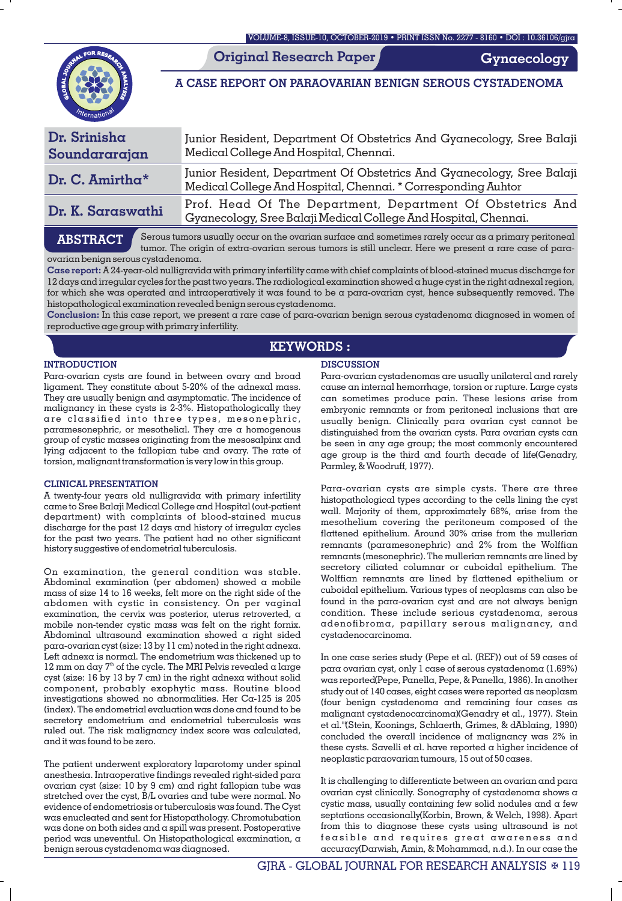**Original Research Paper**

**Gynaecology**

**A CASE REPORT ON PARAOVARIAN BENIGN SEROUS CYSTADENOMA**

| Dr. Srinisha<br>Soundararajan | Junior Resident, Department Of Obstetrics And Gyanecology, Sree Balaji<br>Medical College And Hospital, Chennai.                        |
|-------------------------------|-----------------------------------------------------------------------------------------------------------------------------------------|
| Dr. C. Amirtha $*$            | Junior Resident, Department Of Obstetrics And Gyanecology, Sree Balaji<br>Medical College And Hospital, Chennai. * Corresponding Auhtor |
| Dr. K. Saraswathi             | Prof. Head Of The Department, Department Of Obstetrics And<br>Gyanecology, Sree Balaji Medical College And Hospital, Chennai.           |

# **ABSTRACT**

Serous tumors usually occur on the ovarian surface and sometimes rarely occur as a primary peritoneal tumor. The origin of extra-ovarian serous tumors is still unclear. Here we present a rare case of paraovarian benign serous cystadenoma.

**Case report:** A 24-year-old nulligravida with primary infertility came with chief complaints of blood-stained mucus discharge for 12 days and irregular cycles for the past two years. The radiological examination showed a huge cyst in the right adnexal region, for which she was operated and intraoperatively it was found to be a para-ovarian cyst, hence subsequently removed. The histopathological examination revealed benign serous cystadenoma.

**Conclusion:** In this case report, we present a rare case of para-ovarian benign serous cystadenoma diagnosed in women of reproductive age group with primary infertility.

## **KEYWORDS :**

### **INTRODUCTION**

Para-ovarian cysts are found in between ovary and broad ligament. They constitute about 5-20% of the adnexal mass. They are usually benign and asymptomatic. The incidence of malignancy in these cysts is 2-3%. Histopathologically they are classified into three types, mesonephric, paramesonephric, or mesothelial. They are a homogenous group of cystic masses originating from the mesosalpinx and lying adjacent to the fallopian tube and ovary. The rate of torsion, malignant transformation is very low in this group.

## **CLINICAL PRESENTATION**

A twenty-four years old nulligravida with primary infertility came to Sree Balaji Medical College and Hospital (out-patient department) with complaints of blood-stained mucus discharge for the past 12 days and history of irregular cycles for the past two years. The patient had no other signicant history suggestive of endometrial tuberculosis.

On examination, the general condition was stable. Abdominal examination (per abdomen) showed a mobile mass of size 14 to 16 weeks, felt more on the right side of the abdomen with cystic in consistency. On per vaginal examination, the cervix was posterior, uterus retroverted, a mobile non-tender cystic mass was felt on the right fornix. Abdominal ultrasound examination showed a right sided para-ovarian cyst (size: 13 by 11 cm) noted in the right adnexa. Left adnexa is normal. The endometrium was thickened up to 12 mm on day  $7<sup>th</sup>$  of the cycle. The MRI Pelvis revealed a large cyst (size: 16 by 13 by 7 cm) in the right adnexa without solid component, probably exophytic mass. Routine blood investigations showed no abnormalities. Her Ca-125 is 205 (index). The endometrial evaluation was done and found to be secretory endometrium and endometrial tuberculosis was ruled out. The risk malignancy index score was calculated, and it was found to be zero.

The patient underwent exploratory laparotomy under spinal anesthesia. Intraoperative findings revealed right-sided para ovarian cyst (size: 10 by 9 cm) and right fallopian tube was stretched over the cyst, B/L ovaries and tube were normal. No evidence of endometriosis or tuberculosis was found. The Cyst was enucleated and sent for Histopathology. Chromotubation was done on both sides and a spill was present. Postoperative period was uneventful. On Histopathological examination, a benign serous cystadenoma was diagnosed.

### **DISCUSSION**

Para-ovarian cystadenomas are usually unilateral and rarely cause an internal hemorrhage, torsion or rupture. Large cysts can sometimes produce pain. These lesions arise from embryonic remnants or from peritoneal inclusions that are usually benign. Clinically para ovarian cyst cannot be distinguished from the ovarian cysts. Para ovarian cysts can be seen in any age group; the most commonly encountered age group is the third and fourth decade of life(Genadry, Parmley, & Woodruff, 1977).

Para-ovarian cysts are simple cysts. There are three histopathological types according to the cells lining the cyst wall. Majority of them, approximately 68%, arise from the mesothelium covering the peritoneum composed of the flattened epithelium. Around 30% arise from the mullerian remnants (paramesonephric) and 2% from the Wolffian remnants (mesonephric). The mullerian remnants are lined by secretory ciliated columnar or cuboidal epithelium. The Wolffian remnants are lined by flattened epithelium or cuboidal epithelium. Various types of neoplasms can also be found in the para-ovarian cyst and are not always benign condition. These include serious cystadenoma, serous adenofibroma, papillary serous malignancy, and cystadenocarcinoma.

In one case series study (Pepe et al. (REF)) out of 59 cases of para ovarian cyst, only 1 case of serous cystadenoma (1.69%) was reported(Pepe, Panella, Pepe, & Panella, 1986). In another study out of 140 cases, eight cases were reported as neoplasm (four benign cystadenoma and remaining four cases as malignant cystadenocarcinoma)(Genadry et al., 1977). Stein et al.'''(Stein, Koonings, Schlaerth, Grimes, & dAblaing, 1990) concluded the overall incidence of malignancy was 2% in these cysts. Savelli et al. have reported a higher incidence of neoplastic paraovarian tumours, 15 out of 50 cases.

It is challenging to differentiate between an ovarian and para ovarian cyst clinically. Sonography of cystadenoma shows a cystic mass, usually containing few solid nodules and a few septations occasionally(Korbin, Brown, & Welch, 1998). Apart from this to diagnose these cysts using ultrasound is not feasible and requires great awareness and accuracy(Darwish, Amin, & Mohammad, n.d.). In our case the